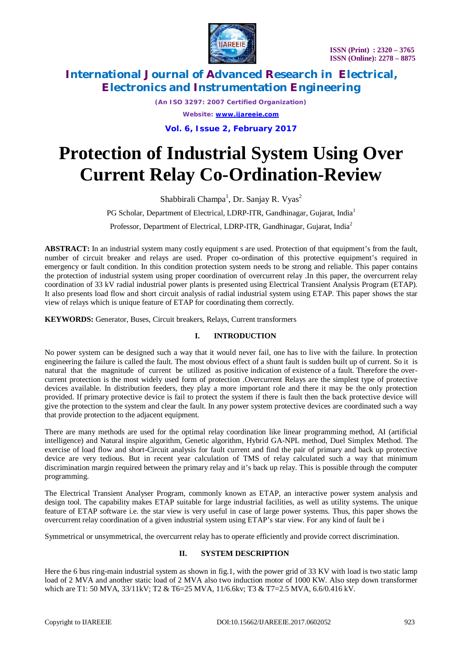

*(An ISO 3297: 2007 Certified Organization) Website: [www.ijareeie.com](http://www.ijareeie.com)*

**Vol. 6, Issue 2, February 2017**

# **Protection of Industrial System Using Over Current Relay Co-Ordination-Review**

Shabbirali Champa<sup>1</sup>, Dr. Sanjay R. Vyas<sup>2</sup>

PG Scholar, Department of Electrical, LDRP-ITR, Gandhinagar, Gujarat, India<sup>1</sup>

Professor, Department of Electrical, LDRP-ITR, Gandhinagar, Gujarat, India<sup>2</sup>

**ABSTRACT:** In an industrial system many costly equipment s are used. Protection of that equipment's from the fault, number of circuit breaker and relays are used. Proper co-ordination of this protective equipment's required in emergency or fault condition. In this condition protection system needs to be strong and reliable. This paper contains the protection of industrial system using proper coordination of overcurrent relay .In this paper, the overcurrent relay coordination of 33 kV radial industrial power plants is presented using Electrical Transient Analysis Program (ETAP). It also presents load flow and short circuit analysis of radial industrial system using ETAP. This paper shows the star view of relays which is unique feature of ETAP for coordinating them correctly.

**KEYWORDS:** Generator, Buses, Circuit breakers, Relays, Current transformers

### **I. INTRODUCTION**

No power system can be designed such a way that it would never fail, one has to live with the failure. In protection engineering the failure is called the fault. The most obvious effect of a shunt fault is sudden built up of current. So it is natural that the magnitude of current be utilized as positive indication of existence of a fault. Therefore the overcurrent protection is the most widely used form of protection .Overcurrent Relays are the simplest type of protective devices available. In distribution feeders, they play a more important role and there it may be the only protection provided. If primary protective device is fail to protect the system if there is fault then the back protective device will give the protection to the system and clear the fault. In any power system protective devices are coordinated such a way that provide protection to the adjacent equipment.

There are many methods are used for the optimal relay coordination like linear programming method, AI (artificial intelligence) and Natural inspire algorithm, Genetic algorithm, Hybrid GA-NPL method, Duel Simplex Method. The exercise of load flow and short-Circuit analysis for fault current and find the pair of primary and back up protective device are very tedious. But in recent year calculation of TMS of relay calculated such a way that minimum discrimination margin required between the primary relay and it's back up relay. This is possible through the computer programming.

The Electrical Transient Analyser Program, commonly known as ETAP, an interactive power system analysis and design tool. The capability makes ETAP suitable for large industrial facilities, as well as utility systems. The unique feature of ETAP software i.e. the star view is very useful in case of large power systems. Thus, this paper shows the overcurrent relay coordination of a given industrial system using ETAP's star view. For any kind of fault be i

Symmetrical or unsymmetrical, the overcurrent relay has to operate efficiently and provide correct discrimination.

### **II. SYSTEM DESCRIPTION**

Here the 6 bus ring-main industrial system as shown in fig.1, with the power grid of 33 KV with load is two static lamp load of 2 MVA and another static load of 2 MVA also two induction motor of 1000 KW. Also step down transformer which are T1: 50 MVA, 33/11kV; T2 & T6=25 MVA, 11/6.6kv; T3 & T7=2.5 MVA, 6.6/0.416 kV.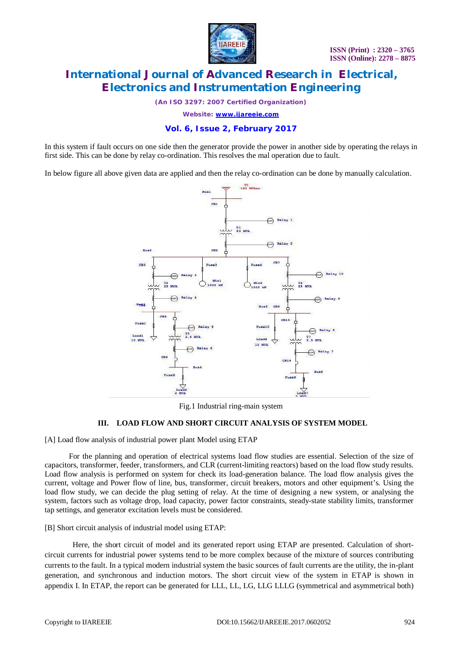

*(An ISO 3297: 2007 Certified Organization)*

*Website: [www.ijareeie.com](http://www.ijareeie.com)*

### **Vol. 6, Issue 2, February 2017**

In this system if fault occurs on one side then the generator provide the power in another side by operating the relays in first side. This can be done by relay co-ordination. This resolves the mal operation due to fault.

In below figure all above given data are applied and then the relay co-ordination can be done by manually calculation.



Fig.1 Industrial ring-main system

#### **III. LOAD FLOW AND SHORT CIRCUIT ANALYSIS OF SYSTEM MODEL**

[A] Load flow analysis of industrial power plant Model using ETAP

For the planning and operation of electrical systems load flow studies are essential. Selection of the size of capacitors, transformer, feeder, transformers, and CLR (current-limiting reactors) based on the load flow study results. Load flow analysis is performed on system for check its load-generation balance. The load flow analysis gives the current, voltage and Power flow of line, bus, transformer, circuit breakers, motors and other equipment's. Using the load flow study, we can decide the plug setting of relay. At the time of designing a new system, or analysing the system, factors such as voltage drop, load capacity, power factor constraints, steady-state stability limits, transformer tap settings, and generator excitation levels must be considered.

[B] Short circuit analysis of industrial model using ETAP:

Here, the short circuit of model and its generated report using ETAP are presented. Calculation of shortcircuit currents for industrial power systems tend to be more complex because of the mixture of sources contributing currents to the fault. In a typical modern industrial system the basic sources of fault currents are the utility, the in-plant generation, and synchronous and induction motors. The short circuit view of the system in ETAP is shown in appendix I. In ETAP, the report can be generated for LLL, LL, LG, LLG LLLG (symmetrical and asymmetrical both)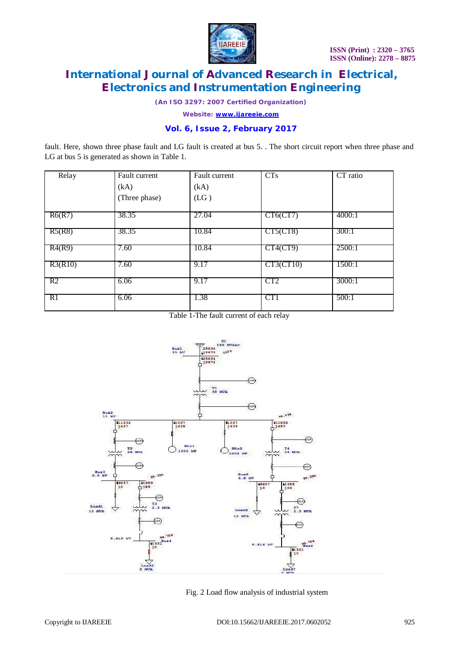

*(An ISO 3297: 2007 Certified Organization)*

*Website: [www.ijareeie.com](http://www.ijareeie.com)*

### **Vol. 6, Issue 2, February 2017**

fault. Here, shown three phase fault and LG fault is created at bus 5. . The short circuit report when three phase and LG at bus 5 is generated as shown in Table 1.

| Relay   | Fault current | Fault current | <b>CTs</b>      | CT ratio |
|---------|---------------|---------------|-----------------|----------|
|         | (kA)          | (kA)          |                 |          |
|         | (Three phase) | (LG)          |                 |          |
| R6(R7)  | 38.35         | 27.04         | CT6 (CT7)       | 4000:1   |
| R5(R8)  | 38.35         | 10.84         | CT5 (CT8)       | 300:1    |
| R4(R9)  | 7.60          | 10.84         | $CT4$ (CT9)     | 2500:1   |
| R3(R10) | 7.60          | 9.17          | CT3 (CT10)      | 1500:1   |
| R2      | 6.06          | 9.17          | CT <sub>2</sub> | 3000:1   |
| R1      | 6.06          | 1.38          | CT1             | 500:1    |

Table 1-The fault current of each relay



Fig. 2 Load flow analysis of industrial system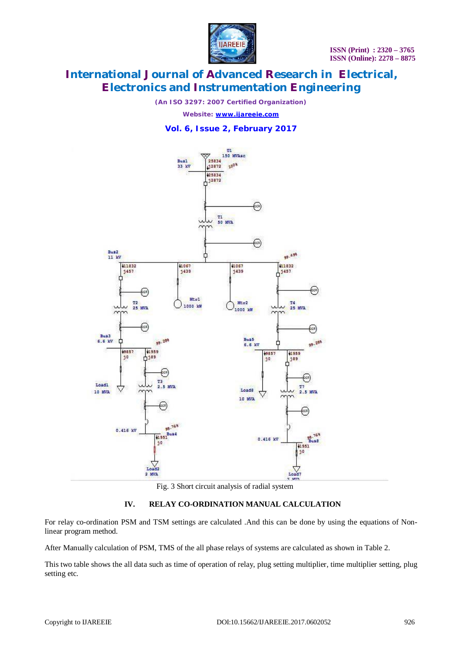

*(An ISO 3297: 2007 Certified Organization)*

*Website: [www.ijareeie.com](http://www.ijareeie.com)*

### **Vol. 6, Issue 2, February 2017**



Fig. 3 Short circuit analysis of radial system

#### **IV. RELAY CO-ORDINATION MANUAL CALCULATION**

For relay co-ordination PSM and TSM settings are calculated .And this can be done by using the equations of Nonlinear program method.

After Manually calculation of PSM, TMS of the all phase relays of systems are calculated as shown in Table 2.

This two table shows the all data such as time of operation of relay, plug setting multiplier, time multiplier setting, plug setting etc.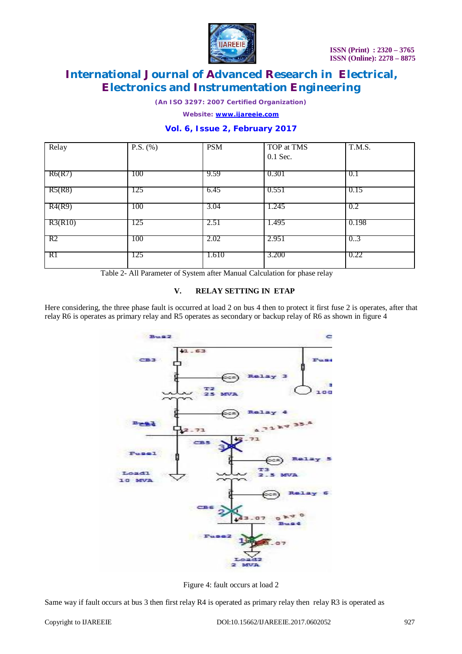

*(An ISO 3297: 2007 Certified Organization)*

*Website: [www.ijareeie.com](http://www.ijareeie.com)*

### **Vol. 6, Issue 2, February 2017**

| Relay   | P.S. $(\% )$ | <b>PSM</b> | TOP at TMS | T.M.S. |
|---------|--------------|------------|------------|--------|
|         |              |            | $0.1$ Sec. |        |
| R6(R7)  | 100          | 9.59       | 0.301      | 0.1    |
| R5(R8)  | 125          | 6.45       | 0.551      | 0.15   |
| R4(R9)  | 100          | 3.04       | 1.245      | 0.2    |
| R3(R10) | 125          | 2.51       | 1.495      | 0.198  |
| R2      | 100          | 2.02       | 2.951      | 0.3    |
| RI      | 125          | 1.610      | 3.200      | 0.22   |

Table 2- All Parameter of System after Manual Calculation for phase relay

#### **V. RELAY SETTING IN ETAP**

Here considering, the three phase fault is occurred at load 2 on bus 4 then to protect it first fuse 2 is operates, after that relay R6 is operates as primary relay and R5 operates as secondary or backup relay of R6 as shown in figure 4



Figure 4: fault occurs at load 2

Same way if fault occurs at bus 3 then first relay R4 is operated as primary relay then relay R3 is operated as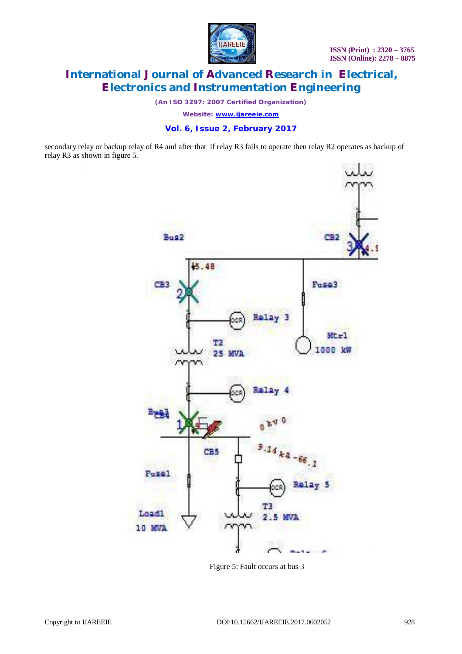

*(An ISO 3297: 2007 Certified Organization)*

*Website: [www.ijareeie.com](http://www.ijareeie.com)*

#### **Vol. 6, Issue 2, February 2017**

secondary relay or backup relay of R4 and after that if relay R3 fails to operate then relay R2 operates as backup of relay R3 as shown in figure 5.



Figure 5: Fault occurs at bus 3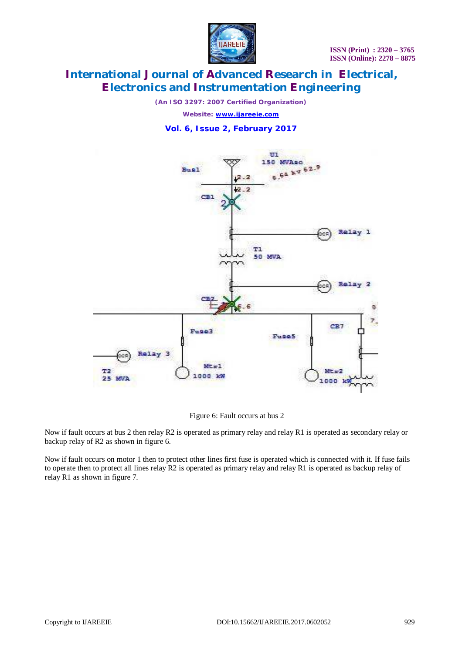

*(An ISO 3297: 2007 Certified Organization)*

*Website: [www.ijareeie.com](http://www.ijareeie.com)*

### **Vol. 6, Issue 2, February 2017**



#### Figure 6: Fault occurs at bus 2

Now if fault occurs at bus 2 then relay R2 is operated as primary relay and relay R1 is operated as secondary relay or backup relay of R2 as shown in figure 6.

Now if fault occurs on motor 1 then to protect other lines first fuse is operated which is connected with it. If fuse fails to operate then to protect all lines relay R2 is operated as primary relay and relay R1 is operated as backup relay of relay R1 as shown in figure 7.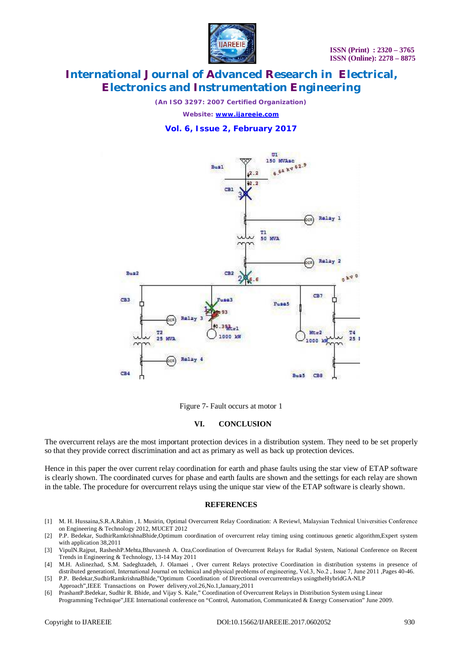

*(An ISO 3297: 2007 Certified Organization)*

*Website: [www.ijareeie.com](http://www.ijareeie.com)*

### **Vol. 6, Issue 2, February 2017**





#### **VI. CONCLUSION**

The overcurrent relays are the most important protection devices in a distribution system. They need to be set properly so that they provide correct discrimination and act as primary as well as back up protection devices.

Hence in this paper the over current relay coordination for earth and phase faults using the star view of ETAP software is clearly shown. The coordinated curves for phase and earth faults are shown and the settings for each relay are shown in the table. The procedure for overcurrent relays using the unique star view of the ETAP software is clearly shown.

#### **REFERENCES**

- [1] M. H. Hussaina,S.R.A.Rahim , I. Musirin, Optimal Overcurrent Relay Coordination: A Review‖, Malaysian Technical Universities Conference on Engineering & Technology 2012, MUCET 2012
- [2] P.P. Bedekar, SudhirRamkrishnaBhide,Optimum coordination of overcurrent relay timing using continuous genetic algorithm,Expert system with application 38,2011
- [3] VipulN.Rajput, RasheshP.Mehta,Bhuvanesh A. Oza,Coordination of Overcurrent Relays for Radial System, National Conference on Recent Trends in Engineering & Technology, 13-14 May 2011
- [4] M.H. Aslinezhad, S.M. Sadeghzadeh, J. Olamaei , Over current Relays protective Coordination in distribution systems in presence of distributed generationl, International Journal on technical and physical problems of engineering, Vol.3, No.2, Issue 7, June 2011 ,Pages 40-46.
- [5] P.P. Bedekar,SudhirRamkrishnaBhide,"Optimum Coordination of Directional overcurrentrelays usingtheHybridGA-NLP Approach",IEEE Transactions on Power delivery,vol.26,No.1,January,2011
- [6] PrashantP.Bedekar, Sudhir R. Bhide, and Vijay S. Kale," Coordination of Overcurrent Relays in Distribution System using Linear Programming Technique",IEE International conference on "Control, Automation, Communicated & Energy Conservation" June 2009.